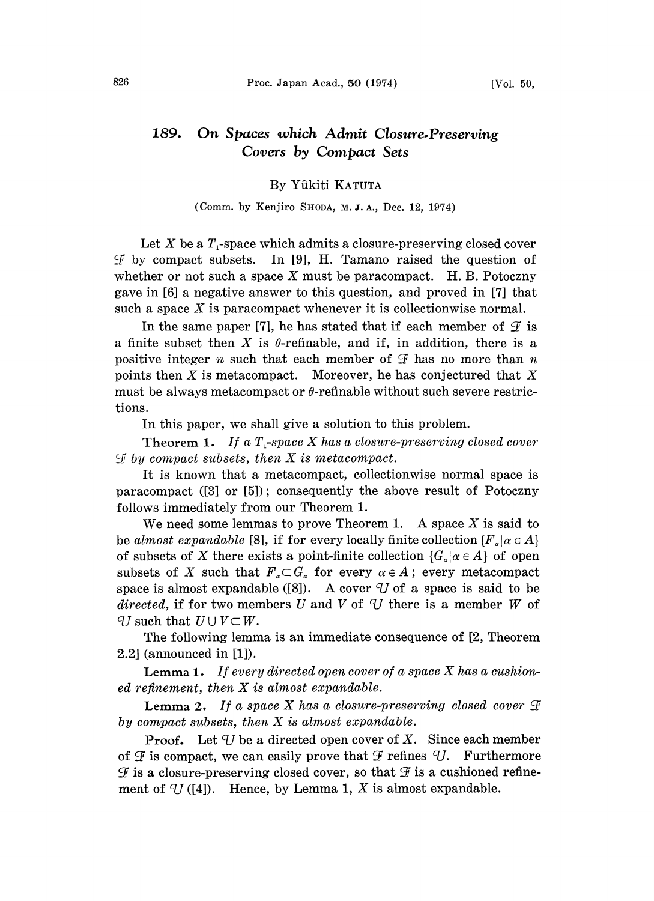## 189. On Spaces whizh Admit Closure.Preserving Covers by Compazt Sets

## By Yfikiti KATUTA

## (Comm. by Kenjiro SHODA, M.J.A., Dec. 12, 1974)

Let X be a  $T_1$ -space which admits a closure-preserving closed cover  $\mathcal F$  by compact subsets. In [9], H. Tamano raised the question of whether or not such a space X must be paracompact. H.B. Potoczny gave in [6] a negative answer to this question, and proved in [7] that such a space  $X$  is paracompact whenever it is collectionwise normal.

In the same paper [7], he has stated that if each member of  $\mathcal F$  is a finite subset then X is  $\theta$ -refinable, and if, in addition, there is a positive integer *n* such that each member of  $\mathcal F$  has no more than *n* points then  $X$  is metacompact. Moreover, he has conjectured that  $X$ must be always metacompact or  $\theta$ -refinable without such severe restrictions.

In this paper, we shall give a solution to this problem.

Theorem 1. If a  $T_1$ -space X has a closure-preserving closed cover  $\mathcal F$  by compact subsets, then  $X$  is metacompact.

It is known that a metacompact, collectionwise normal space is paracompact ([3] or [5]); consequentiy the above result of Potoczny follows immediately from our Theorem 1.

We need some lemmas to prove Theorem 1. A space  $X$  is said to be almost expandable [8], if for every locally finite collection  $\{F_{\alpha} | \alpha \in A\}$ of subsets of X there exists a point-finite collection  $\{G_{\alpha} | \alpha \in A\}$  of open subsets of X such that  $F_{\alpha} \subset G_{\alpha}$  for every  $\alpha \in A$ ; every metacompact space is almost expandable ([8]). A cover  $U$  of a space is said to be directed, if for two members U and V of U there is a member W of *U* such that  $U \cup V \subset W$ .

The following lemma is an immediate consequence of [2, Theorem 2.2] (announced in [1]).

**Lemma 1.** If every directed open cover of a space  $X$  has a cushioned refinement, then X is almost expandable.

**Lemma 2.** If a space X has a closure-preserving closed cover  $\mathcal F$ by compact subsets, then  $X$  is almost expandable.

**Proof.** Let  $\mathcal{U}$  be a directed open cover of X. Since each member of  $\mathcal F$  is compact, we can easily prove that  $\mathcal F$  refines  $\mathcal U$ . Furthermore  $\mathcal F$  is a closure-preserving closed cover, so that  $\mathcal F$  is a cushioned refinement of  $U$  ([4]). Hence, by Lemma 1, X is almost expandable.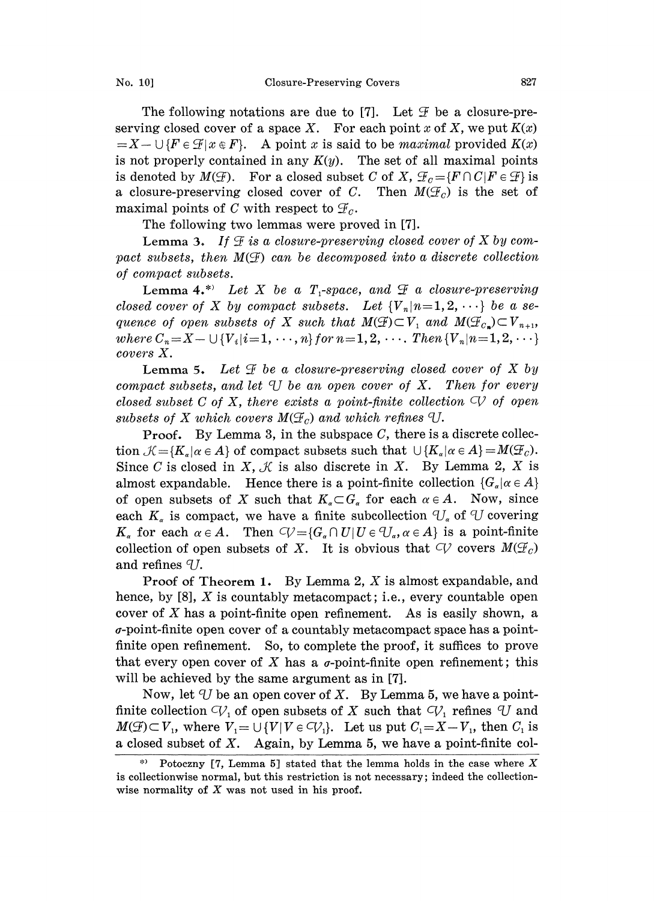The following notations are due to [7]. Let  $\mathcal F$  be a closure-preserving closed cover of a space X. For each point x of X, we put  $K(x)$  $=X-\bigcup\{F\in\mathcal{F}|x\in F\}.$  A point x is said to be maximal provided  $K(x)$ is not properly contained in any  $K(y)$ . The set of all maximal points is denoted by  $M(\mathcal{F})$ . For a closed subset C of X,  $\mathcal{F}_c = \{F \cap C | F \in \mathcal{F}\}\$ is a closure-preserving closed cover of C. Then  $M(\mathcal{F}_c)$  is the set of maximal points of C with respect to  $\mathcal{F}_c$ .

The following two lemmas were proved in [7].

**Lemma 3.** If  $\mathcal{F}$  is a closure-preserving closed cover of  $X$  by compact subsets, then  $M(\mathcal{F})$  can be decomposed into a discrete collection of compact subsets.

Lemma 4.\* Let X be a  $T_1$ -space, and  $\mathcal F$  a closure-preserving closed cover of X by compact subsets. Let  ${V_n | n=1,2,\cdots}$  be a sequence of open subsets of X such that  $M(\mathcal{F}) \subset V_1$  and  $M(\mathcal{F}_{c_n}) \subset V_{n+1}$ , where  $C_n = X - \cup \{V_i | i = 1, \dots, n\}$  for  $n = 1, 2, \dots$ . Then  $\{V_n | n = 1, 2, \dots\}$ covers X.

**Lemma 5.** Let  $\mathcal F$  be a closure-preserving closed cover of X by compact subsets, and let  $U$  be an open cover of X. Then for every closed subset C of X, there exists a point-finite collection  $\bigcirc$  of open subsets of X which covers  $M(\mathcal{F}_c)$  and which refines  $\mathcal{V}.$ 

**Proof.** By Lemma 3, in the subspace C, there is a discrete collection  $\mathcal{K} = \{K_{\alpha} | \alpha \in A\}$  of compact subsets such that  $\cup \{K_{\alpha} | \alpha \in A\} = M(\mathcal{F}_{\alpha}).$ Since C is closed in X,  $\mathcal{K}$  is also discrete in X. By Lemma 2, X is almost expandable. Hence there is a point-finite collection  $\{G_a | \alpha \in A\}$ of open subsets of X such that  $K_{\alpha} \subset G_{\alpha}$  for each  $\alpha \in A$ . Now, since each  $K_a$  is compact, we have a finite subcollection  $U_a$  of U covering  $K_a$  for each  $\alpha \in A$ . Then  $C_V = {G_a \cap U | U \in U_a, \alpha \in A}$  is a point-finite collection of open subsets of X. It is obvious that  $\varphi$  covers  $M(\mathcal{F}_c)$ and refines  $qI$ .

Proof of Theorem 1. By Lemma 2, X is almost expandable, and hence, by  $[8]$ , X is countably metacompact; i.e., every countable open cover of  $X$  has a point-finite open refinement. As is easily shown, a  $\sigma$ -point-finite open cover of a countably metacompact space has a pointfinite open refinement. So, to complete the proof, it suffices to prove that every open cover of X has a  $\sigma$ -point-finite open refinement; this will be achieved by the same argument as in [7].

Now, let  $U$  be an open cover of X. By Lemma 5, we have a pointfinite collection  $\mathcal{V}_1$  of open subsets of X such that  $\mathcal{V}_1$  refines U and  $M(\mathcal{F}) \subset V_1$ , where  $V_1 = \bigcup \{V | V \in C_V\}$ . Let us put  $C_1 = X - V_1$ , then  $C_1$  is a closed subset of  $X$ . Again, by Lemma 5, we have a point-finite col-

Potoczny [7, Lemma 5] stated that the lemma holds in the case where  $X$ is collectionwise normal, but this restriction is not necessary; indeed the collectionwise normality of  $X$  was not used in his proof.